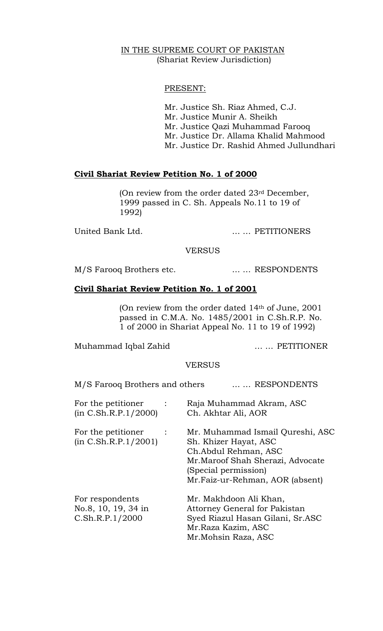# IN THE SUPREME COURT OF PAKISTAN (Shariat Review Jurisdiction)

# PRESENT:

 Mr. Justice Sh. Riaz Ahmed, C.J. Mr. Justice Munir A. Sheikh Mr. Justice Qazi Muhammad Farooq Mr. Justice Dr. Allama Khalid Mahmood Mr. Justice Dr. Rashid Ahmed Jullundhari

# **Civil Shariat Review Petition No. 1 of 2000**

(On review from the order dated 23rd December, 1999 passed in C. Sh. Appeals No.11 to 19 of 1992)

United Bank Ltd. … … PETITIONERS

**VERSUS** 

M/S Farooq Brothers etc. ... ... RESPONDENTS

# **Civil Shariat Review Petition No. 1 of 2001**

(On review from the order dated 14th of June, 2001 passed in C.M.A. No. 1485/2001 in C.Sh.R.P. No. 1 of 2000 in Shariat Appeal No. 11 to 19 of 1992)

Muhammad Iqbal Zahid … … PETITIONER

#### VERSUS

| M/S Farooq Brothers and others                            | RESPONDENTS                                                                                                                                                                        |
|-----------------------------------------------------------|------------------------------------------------------------------------------------------------------------------------------------------------------------------------------------|
| For the petitioner<br>(in C. Sh.R.P.1/2000)               | Raja Muhammad Akram, ASC<br>Ch. Akhtar Ali, AOR                                                                                                                                    |
| For the petitioner<br>(in C. Sh.R.P.1/2001)               | Mr. Muhammad Ismail Qureshi, ASC<br>Sh. Khizer Hayat, ASC<br>Ch. Abdul Rehman, ASC<br>Mr. Maroof Shah Sherazi, Advocate<br>(Special permission)<br>Mr.Faiz-ur-Rehman, AOR (absent) |
| For respondents<br>No.8, 10, 19, 34 in<br>C.Sh.R.P.1/2000 | Mr. Makhdoon Ali Khan,<br>Attorney General for Pakistan<br>Syed Riazul Hasan Gilani, Sr.ASC<br>Mr.Raza Kazim, ASC<br>Mr. Mohsin Raza, ASC                                          |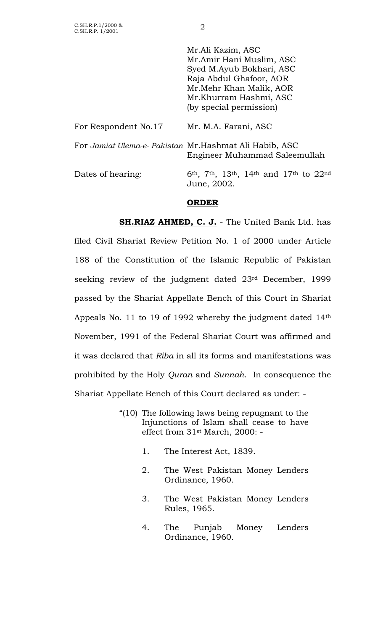|                      | Mr.Ali Kazim, ASC                                                                                                               |
|----------------------|---------------------------------------------------------------------------------------------------------------------------------|
|                      | Mr.Amir Hani Muslim, ASC                                                                                                        |
|                      | Syed M.Ayub Bokhari, ASC                                                                                                        |
|                      | Raja Abdul Ghafoor, AOR                                                                                                         |
|                      | Mr. Mehr Khan Malik, AOR                                                                                                        |
|                      | Mr.Khurram Hashmi, ASC                                                                                                          |
|                      | (by special permission)                                                                                                         |
| For Respondent No.17 | Mr. M.A. Farani, ASC                                                                                                            |
|                      | For Jamiat Ulema-e- Pakistan Mr. Hashmat Ali Habib, ASC<br>Engineer Muhammad Saleemullah                                        |
| Dates of hearing:    | 6 <sup>th</sup> , 7 <sup>th</sup> , 13 <sup>th</sup> , 14 <sup>th</sup> and 17 <sup>th</sup> to 22 <sup>nd</sup><br>June, 2002. |

# **ORDER**

 **SH.RIAZ AHMED, C. J.** - The United Bank Ltd. has filed Civil Shariat Review Petition No. 1 of 2000 under Article 188 of the Constitution of the Islamic Republic of Pakistan seeking review of the judgment dated 23rd December, 1999 passed by the Shariat Appellate Bench of this Court in Shariat Appeals No. 11 to 19 of 1992 whereby the judgment dated 14th November, 1991 of the Federal Shariat Court was affirmed and it was declared that *Riba* in all its forms and manifestations was prohibited by the Holy *Quran* and *Sunnah*. In consequence the Shariat Appellate Bench of this Court declared as under: -

- "(10) The following laws being repugnant to the Injunctions of Islam shall cease to have effect from 31st March, 2000: -
	- 1. The Interest Act, 1839.
	- 2. The West Pakistan Money Lenders Ordinance, 1960.
	- 3. The West Pakistan Money Lenders Rules, 1965.
	- 4. The Punjab Money Lenders Ordinance, 1960.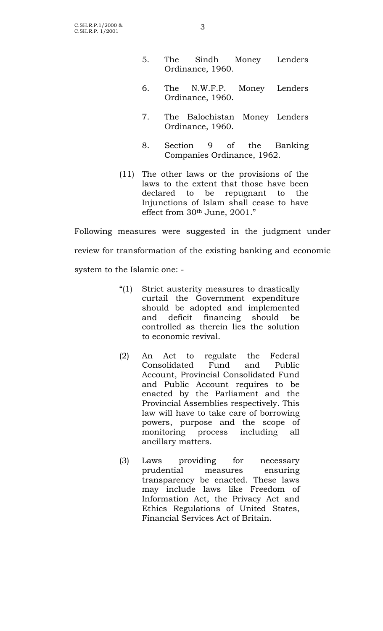- 5. The Sindh Money Lenders Ordinance, 1960.
- 6. The N.W.F.P. Money Lenders Ordinance, 1960.
- 7. The Balochistan Money Lenders Ordinance, 1960.
- 8. Section 9 of the Banking Companies Ordinance, 1962.
- (11) The other laws or the provisions of the laws to the extent that those have been declared to be repugnant to the Injunctions of Islam shall cease to have effect from 30th June, 2001."

Following measures were suggested in the judgment under review for transformation of the existing banking and economic system to the Islamic one: -

- "(1) Strict austerity measures to drastically curtail the Government expenditure should be adopted and implemented and deficit financing should be controlled as therein lies the solution to economic revival.
- (2) An Act to regulate the Federal Consolidated Fund and Public Account, Provincial Consolidated Fund and Public Account requires to be enacted by the Parliament and the Provincial Assemblies respectively. This law will have to take care of borrowing powers, purpose and the scope of monitoring process including all ancillary matters.
- (3) Laws providing for necessary prudential measures ensuring transparency be enacted. These laws may include laws like Freedom of Information Act, the Privacy Act and Ethics Regulations of United States, Financial Services Act of Britain.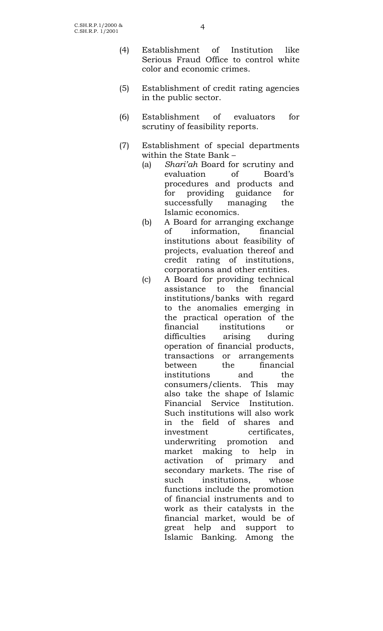- (4) Establishment of Institution like Serious Fraud Office to control white color and economic crimes.
- (5) Establishment of credit rating agencies in the public sector.
- (6) Establishment of evaluators for scrutiny of feasibility reports.
- (7) Establishment of special departments within the State Bank –
	- (a) *Shari'ah* Board for scrutiny and evaluation of Board's procedures and products and for providing guidance for successfully managing the Islamic economics.
	- (b) A Board for arranging exchange of information, financial institutions about feasibility of projects, evaluation thereof and credit rating of institutions, corporations and other entities.
	- (c) A Board for providing technical assistance to the financial institutions/banks with regard to the anomalies emerging in the practical operation of the financial institutions or difficulties arising during operation of financial products, transactions or arrangements between the financial institutions and the consumers/clients. This may also take the shape of Islamic Financial Service Institution. Such institutions will also work in the field of shares and investment certificates, underwriting promotion and market making to help in activation of primary and secondary markets. The rise of such institutions, whose functions include the promotion of financial instruments and to work as their catalysts in the financial market, would be of great help and support to Islamic Banking. Among the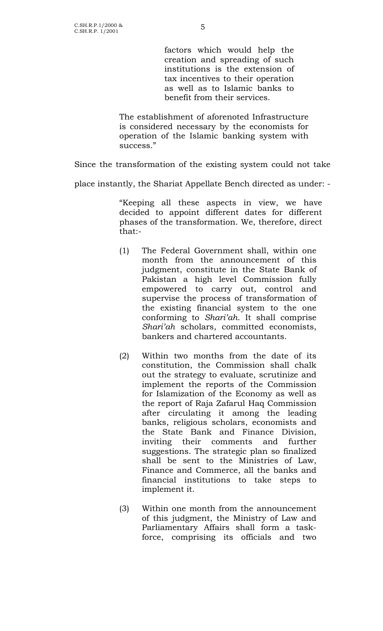factors which would help the creation and spreading of such institutions is the extension of tax incentives to their operation as well as to Islamic banks to benefit from their services.

The establishment of aforenoted Infrastructure is considered necessary by the economists for operation of the Islamic banking system with success."

Since the transformation of the existing system could not take

place instantly, the Shariat Appellate Bench directed as under: -

"Keeping all these aspects in view, we have decided to appoint different dates for different phases of the transformation. We, therefore, direct that:-

- (1) The Federal Government shall, within one month from the announcement of this judgment, constitute in the State Bank of Pakistan a high level Commission fully empowered to carry out, control and supervise the process of transformation of the existing financial system to the one conforming to *Shari'ah*. It shall comprise *Shari'ah* scholars, committed economists, bankers and chartered accountants.
- (2) Within two months from the date of its constitution, the Commission shall chalk out the strategy to evaluate, scrutinize and implement the reports of the Commission for Islamization of the Economy as well as the report of Raja Zafarul Haq Commission after circulating it among the leading banks, religious scholars, economists and the State Bank and Finance Division, inviting their comments and further suggestions. The strategic plan so finalized shall be sent to the Ministries of Law, Finance and Commerce, all the banks and financial institutions to take steps to implement it.
- (3) Within one month from the announcement of this judgment, the Ministry of Law and Parliamentary Affairs shall form a taskforce, comprising its officials and two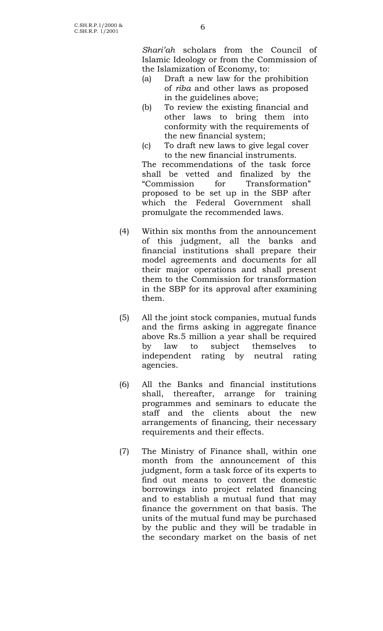*Shari'ah* scholars from the Council of Islamic Ideology or from the Commission of the Islamization of Economy, to:

- (a) Draft a new law for the prohibition of *riba* and other laws as proposed in the guidelines above;
- (b) To review the existing financial and other laws to bring them into conformity with the requirements of the new financial system;
- (c) To draft new laws to give legal cover to the new financial instruments.

The recommendations of the task force shall be vetted and finalized by the "Commission for Transformation" proposed to be set up in the SBP after which the Federal Government shall promulgate the recommended laws.

- (4) Within six months from the announcement of this judgment, all the banks and financial institutions shall prepare their model agreements and documents for all their major operations and shall present them to the Commission for transformation in the SBP for its approval after examining them.
- (5) All the joint stock companies, mutual funds and the firms asking in aggregate finance above Rs.5 million a year shall be required by law to subject themselves to independent rating by neutral rating agencies.
- (6) All the Banks and financial institutions shall, thereafter, arrange for training programmes and seminars to educate the staff and the clients about the new arrangements of financing, their necessary requirements and their effects.
- (7) The Ministry of Finance shall, within one month from the announcement of this judgment, form a task force of its experts to find out means to convert the domestic borrowings into project related financing and to establish a mutual fund that may finance the government on that basis. The units of the mutual fund may be purchased by the public and they will be tradable in the secondary market on the basis of net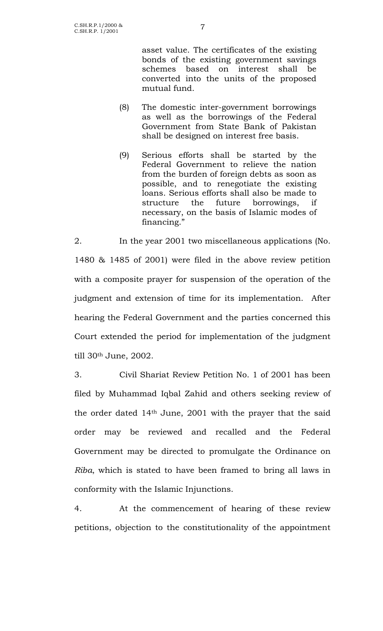asset value. The certificates of the existing bonds of the existing government savings schemes based on interest shall be converted into the units of the proposed mutual fund.

- (8) The domestic inter-government borrowings as well as the borrowings of the Federal Government from State Bank of Pakistan shall be designed on interest free basis.
- (9) Serious efforts shall be started by the Federal Government to relieve the nation from the burden of foreign debts as soon as possible, and to renegotiate the existing loans. Serious efforts shall also be made to structure the future borrowings, if necessary, on the basis of Islamic modes of financing."

2. In the year 2001 two miscellaneous applications (No. 1480 & 1485 of 2001) were filed in the above review petition with a composite prayer for suspension of the operation of the judgment and extension of time for its implementation. After hearing the Federal Government and the parties concerned this Court extended the period for implementation of the judgment till 30th June, 2002.

3. Civil Shariat Review Petition No. 1 of 2001 has been filed by Muhammad Iqbal Zahid and others seeking review of the order dated 14th June, 2001 with the prayer that the said order may be reviewed and recalled and the Federal Government may be directed to promulgate the Ordinance on *Riba*, which is stated to have been framed to bring all laws in conformity with the Islamic Injunctions.

4. At the commencement of hearing of these review petitions, objection to the constitutionality of the appointment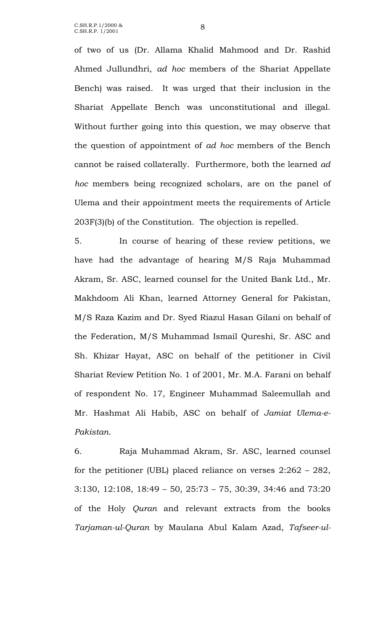C.SH.R.P.1/2000 & C.SH.R.P.1/2000 & <br>C.SH.R.P. 1/2001 8

of two of us (Dr. Allama Khalid Mahmood and Dr. Rashid Ahmed Jullundhri, *ad hoc* members of the Shariat Appellate Bench) was raised. It was urged that their inclusion in the Shariat Appellate Bench was unconstitutional and illegal. Without further going into this question, we may observe that the question of appointment of *ad hoc* members of the Bench cannot be raised collaterally. Furthermore, both the learned *ad hoc* members being recognized scholars, are on the panel of Ulema and their appointment meets the requirements of Article 203F(3)(b) of the Constitution. The objection is repelled.

5. In course of hearing of these review petitions, we have had the advantage of hearing M/S Raja Muhammad Akram, Sr. ASC, learned counsel for the United Bank Ltd., Mr. Makhdoom Ali Khan, learned Attorney General for Pakistan, M/S Raza Kazim and Dr. Syed Riazul Hasan Gilani on behalf of the Federation, M/S Muhammad Ismail Qureshi, Sr. ASC and Sh. Khizar Hayat, ASC on behalf of the petitioner in Civil Shariat Review Petition No. 1 of 2001, Mr. M.A. Farani on behalf of respondent No. 17, Engineer Muhammad Saleemullah and Mr. Hashmat Ali Habib, ASC on behalf of *Jamiat Ulema-e-Pakistan*.

6. Raja Muhammad Akram, Sr. ASC, learned counsel for the petitioner (UBL) placed reliance on verses 2:262 – 282, 3:130, 12:108, 18:49 – 50, 25:73 – 75, 30:39, 34:46 and 73:20 of the Holy *Quran* and relevant extracts from the books *Tarjaman-ul-Quran* by Maulana Abul Kalam Azad, *Tafseer-ul-*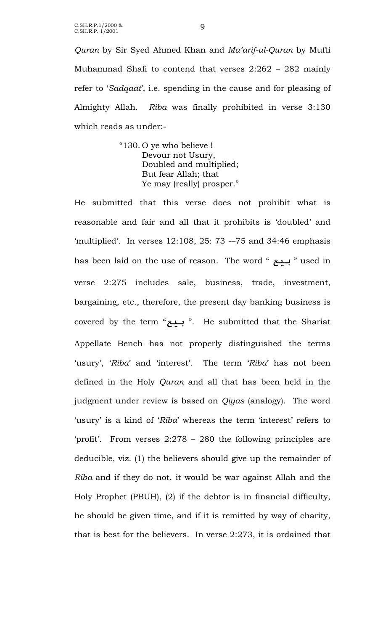*Quran* by Sir Syed Ahmed Khan and *Ma'arif-ul-Quran* by Mufti Muhammad Shafi to contend that verses 2:262 – 282 mainly refer to '*Sadqaat*', i.e. spending in the cause and for pleasing of Almighty Allah. *Riba* was finally prohibited in verse 3:130 which reads as under:-

> "130. O ye who believe ! Devour not Usury, Doubled and multiplied; But fear Allah; that Ye may (really) prosper."

He submitted that this verse does not prohibit what is reasonable and fair and all that it prohibits is 'doubled' and 'multiplied'. In verses 12:108, 25: 73 -–75 and 34:46 emphasis has been laid on the use of reason. The word " **بيع** " used in verse 2:275 includes sale, business, trade, investment, bargaining, etc., therefore, the present day banking business is covered by the term "**بيع**" . He submitted that the Shariat Appellate Bench has not properly distinguished the terms 'usury', '*Riba*' and 'interest'. The term '*Riba*' has not been defined in the Holy *Quran* and all that has been held in the judgment under review is based on *Qiyas* (analogy). The word 'usury' is a kind of '*Riba*' whereas the term 'interest' refers to 'profit'. From verses 2:278 – 280 the following principles are deducible, viz. (1) the believers should give up the remainder of *Riba* and if they do not, it would be war against Allah and the Holy Prophet (PBUH), (2) if the debtor is in financial difficulty, he should be given time, and if it is remitted by way of charity, that is best for the believers. In verse 2:273, it is ordained that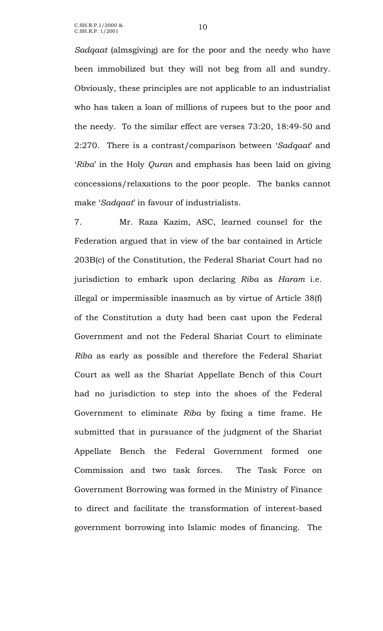*Sadqaat* (almsgiving) are for the poor and the needy who have been immobilized but they will not beg from all and sundry. Obviously, these principles are not applicable to an industrialist who has taken a loan of millions of rupees but to the poor and the needy. To the similar effect are verses 73:20, 18:49-50 and 2:270. There is a contrast/comparison between '*Sadqaat*' and '*Riba*' in the Holy *Quran* and emphasis has been laid on giving concessions/relaxations to the poor people. The banks cannot make '*Sadqaat*' in favour of industrialists.

7. Mr. Raza Kazim, ASC, learned counsel for the Federation argued that in view of the bar contained in Article 203B(c) of the Constitution, the Federal Shariat Court had no jurisdiction to embark upon declaring *Riba* as *Haram* i.e. illegal or impermissible inasmuch as by virtue of Article 38(f) of the Constitution a duty had been cast upon the Federal Government and not the Federal Shariat Court to eliminate *Riba* as early as possible and therefore the Federal Shariat Court as well as the Shariat Appellate Bench of this Court had no jurisdiction to step into the shoes of the Federal Government to eliminate *Riba* by fixing a time frame. He submitted that in pursuance of the judgment of the Shariat Appellate Bench the Federal Government formed one Commission and two task forces. The Task Force on Government Borrowing was formed in the Ministry of Finance to direct and facilitate the transformation of interest-based government borrowing into Islamic modes of financing. The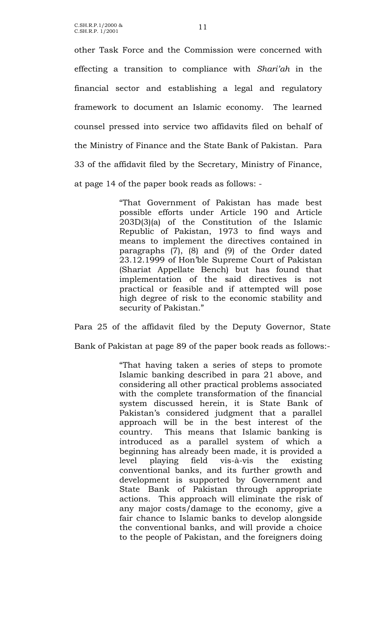C.SH.R.P.1/2000 & C.SH.R.P.1/2000 & 11<br>C.SH.R.P. 1/2001

other Task Force and the Commission were concerned with effecting a transition to compliance with *Shari'ah* in the financial sector and establishing a legal and regulatory framework to document an Islamic economy. The learned counsel pressed into service two affidavits filed on behalf of the Ministry of Finance and the State Bank of Pakistan. Para 33 of the affidavit filed by the Secretary, Ministry of Finance, at page 14 of the paper book reads as follows: -

> "That Government of Pakistan has made best possible efforts under Article 190 and Article 203D(3)(a) of the Constitution of the Islamic Republic of Pakistan, 1973 to find ways and means to implement the directives contained in paragraphs (7), (8) and (9) of the Order dated 23.12.1999 of Hon'ble Supreme Court of Pakistan (Shariat Appellate Bench) but has found that implementation of the said directives is not practical or feasible and if attempted will pose high degree of risk to the economic stability and security of Pakistan."

Para 25 of the affidavit filed by the Deputy Governor, State Bank of Pakistan at page 89 of the paper book reads as follows:-

> "That having taken a series of steps to promote Islamic banking described in para 21 above, and considering all other practical problems associated with the complete transformation of the financial system discussed herein, it is State Bank of Pakistan's considered judgment that a parallel approach will be in the best interest of the country. This means that Islamic banking is introduced as a parallel system of which a beginning has already been made, it is provided a level playing field vis-à-vis the existing conventional banks, and its further growth and development is supported by Government and State Bank of Pakistan through appropriate actions. This approach will eliminate the risk of any major costs/damage to the economy, give a fair chance to Islamic banks to develop alongside the conventional banks, and will provide a choice to the people of Pakistan, and the foreigners doing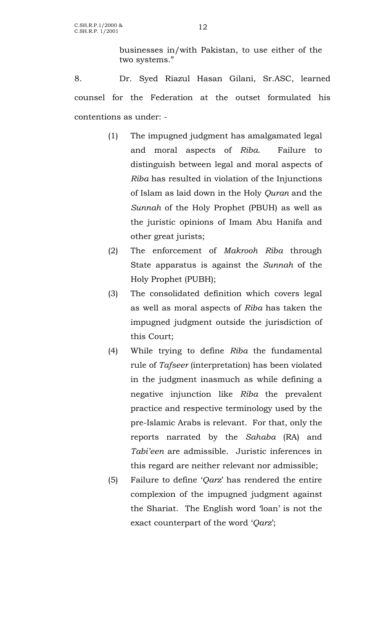businesses in/with Pakistan, to use either of the two systems."

8. Dr. Syed Riazul Hasan Gilani, Sr.ASC, learned counsel for the Federation at the outset formulated his contentions as under: -

- (1) The impugned judgment has amalgamated legal and moral aspects of *Riba*. Failure to distinguish between legal and moral aspects of *Riba* has resulted in violation of the Injunctions of Islam as laid down in the Holy *Quran* and the *Sunnah* of the Holy Prophet (PBUH) as well as the juristic opinions of Imam Abu Hanifa and other great jurists;
- (2) The enforcement of *Makrooh Riba* through State apparatus is against the *Sunnah* of the Holy Prophet (PUBH);
- (3) The consolidated definition which covers legal as well as moral aspects of *Riba* has taken the impugned judgment outside the jurisdiction of this Court;
- (4) While trying to define *Riba* the fundamental rule of *Tafseer* (interpretation) has been violated in the judgment inasmuch as while defining a negative injunction like *Riba* the prevalent practice and respective terminology used by the pre-Islamic Arabs is relevant. For that, only the reports narrated by the *Sahaba* (RA) and *Tabi'een* are admissible. Juristic inferences in this regard are neither relevant nor admissible;
- (5) Failure to define '*Qarz*' has rendered the entire complexion of the impugned judgment against the Shariat. The English word 'loan' is not the exact counterpart of the word '*Qarz*';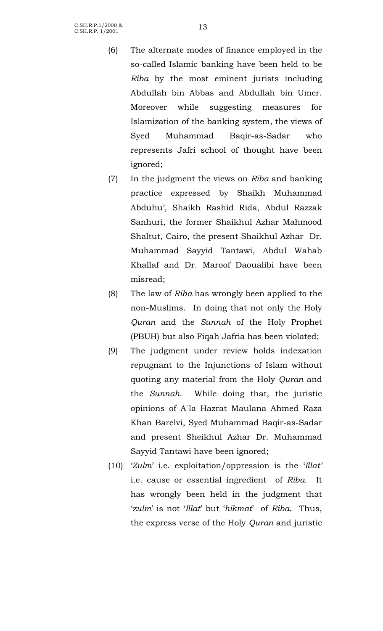- (6) The alternate modes of finance employed in the so-called Islamic banking have been held to be *Riba* by the most eminent jurists including Abdullah bin Abbas and Abdullah bin Umer. Moreover while suggesting measures for Islamization of the banking system, the views of Syed Muhammad Baqir-as-Sadar who represents Jafri school of thought have been ignored;
- (7) In the judgment the views on *Riba* and banking practice expressed by Shaikh Muhammad Abduhu', Shaikh Rashid Rida, Abdul Razzak Sanhuri, the former Shaikhul Azhar Mahmood Shaltut, Cairo, the present Shaikhul Azhar Dr. Muhammad Sayyid Tantawi, Abdul Wahab Khallaf and Dr. Maroof Daoualibi have been misread;
- (8) The law of *Riba* has wrongly been applied to the non-Muslims. In doing that not only the Holy *Quran* and the *Sunnah* of the Holy Prophet (PBUH) but also Fiqah Jafria has been violated;
- (9) The judgment under review holds indexation repugnant to the Injunctions of Islam without quoting any material from the Holy *Quran* and the *Sunnah*. While doing that, the juristic opinions of A`la Hazrat Maulana Ahmed Raza Khan Barelvi, Syed Muhammad Baqir-as-Sadar and present Sheikhul Azhar Dr. Muhammad Sayyid Tantawi have been ignored;
- (10) '*Zulm*' i.e. exploitation/oppression is the '*Illat'* i.e. cause or essential ingredient of *Riba*. It has wrongly been held in the judgment that '*zulm*' is not '*Illat*' but '*hikmat*' of *Riba*. Thus, the express verse of the Holy *Quran* and juristic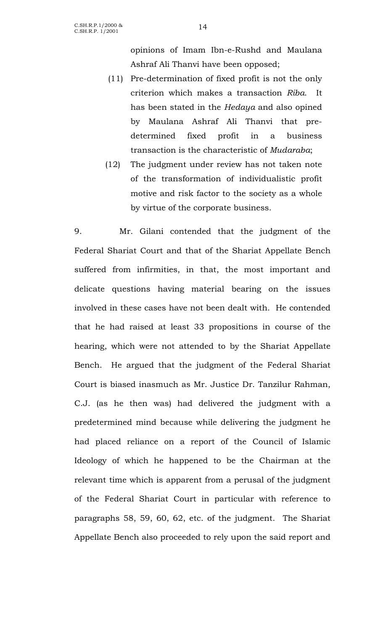opinions of Imam Ibn-e-Rushd and Maulana Ashraf Ali Thanvi have been opposed;

- (11) Pre-determination of fixed profit is not the only criterion which makes a transaction *Riba*. It has been stated in the *Hedaya* and also opined by Maulana Ashraf Ali Thanvi that predetermined fixed profit in a business transaction is the characteristic of *Mudaraba*;
- (12) The judgment under review has not taken note of the transformation of individualistic profit motive and risk factor to the society as a whole by virtue of the corporate business.

9. Mr. Gilani contended that the judgment of the Federal Shariat Court and that of the Shariat Appellate Bench suffered from infirmities, in that, the most important and delicate questions having material bearing on the issues involved in these cases have not been dealt with. He contended that he had raised at least 33 propositions in course of the hearing, which were not attended to by the Shariat Appellate Bench. He argued that the judgment of the Federal Shariat Court is biased inasmuch as Mr. Justice Dr. Tanzilur Rahman, C.J. (as he then was) had delivered the judgment with a predetermined mind because while delivering the judgment he had placed reliance on a report of the Council of Islamic Ideology of which he happened to be the Chairman at the relevant time which is apparent from a perusal of the judgment of the Federal Shariat Court in particular with reference to paragraphs 58, 59, 60, 62, etc. of the judgment. The Shariat Appellate Bench also proceeded to rely upon the said report and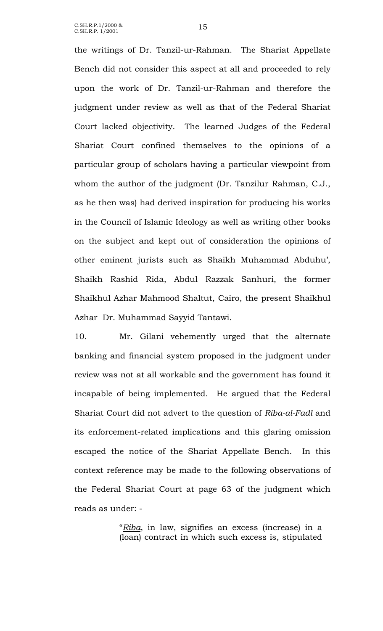C.SH.R.P.1/2000 & C.SH.R.P.1/2000 & 15<br>C.SH.R.P. 1/2001

the writings of Dr. Tanzil-ur-Rahman. The Shariat Appellate Bench did not consider this aspect at all and proceeded to rely upon the work of Dr. Tanzil-ur-Rahman and therefore the judgment under review as well as that of the Federal Shariat Court lacked objectivity. The learned Judges of the Federal Shariat Court confined themselves to the opinions of a particular group of scholars having a particular viewpoint from whom the author of the judgment (Dr. Tanzilur Rahman, C.J., as he then was) had derived inspiration for producing his works in the Council of Islamic Ideology as well as writing other books on the subject and kept out of consideration the opinions of other eminent jurists such as Shaikh Muhammad Abduhu', Shaikh Rashid Rida, Abdul Razzak Sanhuri, the former Shaikhul Azhar Mahmood Shaltut, Cairo, the present Shaikhul Azhar Dr. Muhammad Sayyid Tantawi.

10. Mr. Gilani vehemently urged that the alternate banking and financial system proposed in the judgment under review was not at all workable and the government has found it incapable of being implemented. He argued that the Federal Shariat Court did not advert to the question of *Riba-al-Fadl* and its enforcement-related implications and this glaring omission escaped the notice of the Shariat Appellate Bench. In this context reference may be made to the following observations of the Federal Shariat Court at page 63 of the judgment which reads as under: -

> "*Riba*, in law, signifies an excess (increase) in a (loan) contract in which such excess is, stipulated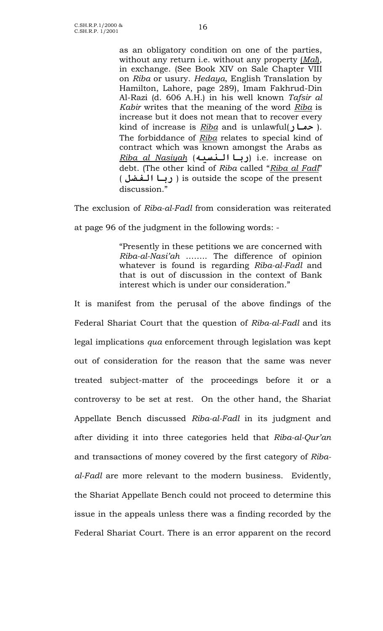as an obligatory condition on one of the parties, without any return i.e. without any property (*Mal*), in exchange. (See Book XIV on Sale Chapter VIII on *Riba* or usury. *Hedaya*, English Translation by Hamilton, Lahore, page 289), Imam Fakhrud-Din Al-Razi (d. 606 A.H.) in his well known *Tafsir al Kabir* writes that the meaning of the word *Riba* is increase but it does not mean that to recover every kind of increase is *Riba* and is unlawful(**حمار**( . The forbiddance of *Riba* relates to special kind of contract which was known amongst the Arabs as *Riba al Nasiyah* (**رباالنسيه** (i.e. increase on debt. (The other kind of *Riba* called "*Riba al Fadl*" ( **رباالفضل** ( is outside the scope of the present discussion."

The exclusion of *Riba-al-Fadl* from consideration was reiterated

at page 96 of the judgment in the following words: -

"Presently in these petitions we are concerned with *Riba-al-Nasi'ah* …….. The difference of opinion whatever is found is regarding *Riba-al-Fadl* and that is out of discussion in the context of Bank interest which is under our consideration."

It is manifest from the perusal of the above findings of the Federal Shariat Court that the question of *Riba-al-Fadl* and its legal implications *qua* enforcement through legislation was kept out of consideration for the reason that the same was never treated subject-matter of the proceedings before it or a controversy to be set at rest. On the other hand, the Shariat Appellate Bench discussed *Riba-al-Fadl* in its judgment and after dividing it into three categories held that *Riba-al-Qur'an* and transactions of money covered by the first category of *Ribaal-Fadl* are more relevant to the modern business. Evidently, the Shariat Appellate Bench could not proceed to determine this issue in the appeals unless there was a finding recorded by the Federal Shariat Court. There is an error apparent on the record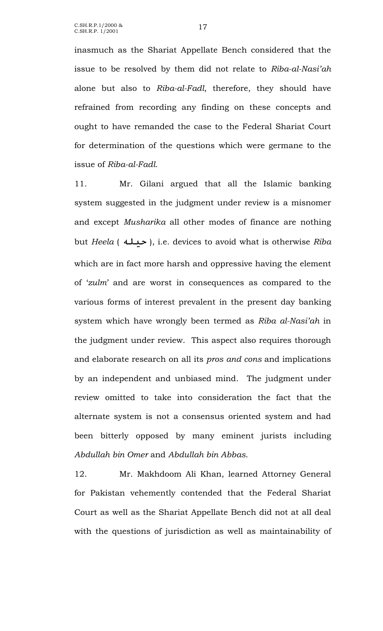inasmuch as the Shariat Appellate Bench considered that the issue to be resolved by them did not relate to *Riba-al-Nasi'ah* alone but also to *Riba-al-Fadl*, therefore, they should have refrained from recording any finding on these concepts and ought to have remanded the case to the Federal Shariat Court for determination of the questions which were germane to the issue of *Riba-al-Fadl*.

11. Mr. Gilani argued that all the Islamic banking system suggested in the judgment under review is a misnomer and except *Musharika* all other modes of finance are nothing but *Heela* ( **حيله**( , i.e. devices to avoid what is otherwise *Riba* which are in fact more harsh and oppressive having the element of '*zulm*' and are worst in consequences as compared to the various forms of interest prevalent in the present day banking system which have wrongly been termed as *Riba al-Nasi'ah* in the judgment under review. This aspect also requires thorough and elaborate research on all its *pros and cons* and implications by an independent and unbiased mind. The judgment under review omitted to take into consideration the fact that the alternate system is not a consensus oriented system and had been bitterly opposed by many eminent jurists including *Abdullah bin Omer* and *Abdullah bin Abbas*.

12. Mr. Makhdoom Ali Khan, learned Attorney General for Pakistan vehemently contended that the Federal Shariat Court as well as the Shariat Appellate Bench did not at all deal with the questions of jurisdiction as well as maintainability of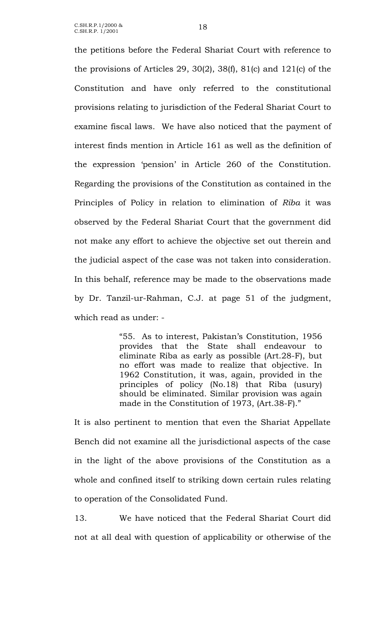the petitions before the Federal Shariat Court with reference to the provisions of Articles 29, 30(2), 38(f), 81(c) and 121(c) of the Constitution and have only referred to the constitutional provisions relating to jurisdiction of the Federal Shariat Court to examine fiscal laws. We have also noticed that the payment of interest finds mention in Article 161 as well as the definition of the expression 'pension' in Article 260 of the Constitution. Regarding the provisions of the Constitution as contained in the Principles of Policy in relation to elimination of *Riba* it was observed by the Federal Shariat Court that the government did not make any effort to achieve the objective set out therein and the judicial aspect of the case was not taken into consideration. In this behalf, reference may be made to the observations made by Dr. Tanzil-ur-Rahman, C.J. at page 51 of the judgment, which read as under: -

> "55. As to interest, Pakistan's Constitution, 1956 provides that the State shall endeavour to eliminate Riba as early as possible (Art.28-F), but no effort was made to realize that objective. In 1962 Constitution, it was, again, provided in the principles of policy (No.18) that Riba (usury) should be eliminated. Similar provision was again made in the Constitution of 1973, (Art.38-F)."

It is also pertinent to mention that even the Shariat Appellate Bench did not examine all the jurisdictional aspects of the case in the light of the above provisions of the Constitution as a whole and confined itself to striking down certain rules relating to operation of the Consolidated Fund.

13. We have noticed that the Federal Shariat Court did not at all deal with question of applicability or otherwise of the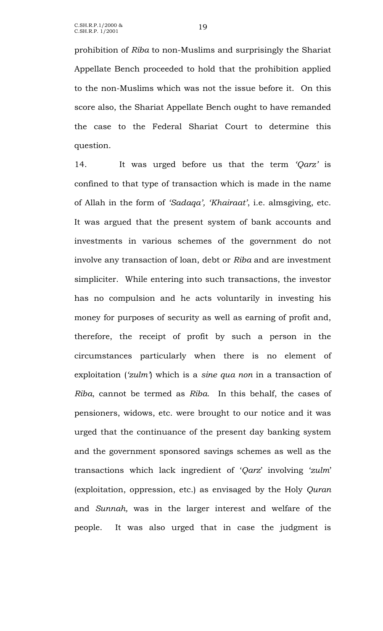prohibition of *Riba* to non-Muslims and surprisingly the Shariat Appellate Bench proceeded to hold that the prohibition applied to the non-Muslims which was not the issue before it. On this score also, the Shariat Appellate Bench ought to have remanded the case to the Federal Shariat Court to determine this question.

14. It was urged before us that the term *'Qarz'* is confined to that type of transaction which is made in the name of Allah in the form of *'Sadaqa', 'Khairaat'*, i.e. almsgiving, etc. It was argued that the present system of bank accounts and investments in various schemes of the government do not involve any transaction of loan, debt or *Riba* and are investment simpliciter. While entering into such transactions, the investor has no compulsion and he acts voluntarily in investing his money for purposes of security as well as earning of profit and, therefore, the receipt of profit by such a person in the circumstances particularly when there is no element of exploitation (*'zulm'*) which is a *sine qua non* in a transaction of *Riba*, cannot be termed as *Riba*. In this behalf, the cases of pensioners, widows, etc. were brought to our notice and it was urged that the continuance of the present day banking system and the government sponsored savings schemes as well as the transactions which lack ingredient of '*Qarz*' involving '*zulm*' (exploitation, oppression, etc.) as envisaged by the Holy *Quran* and *Sunnah,* was in the larger interest and welfare of the people. It was also urged that in case the judgment is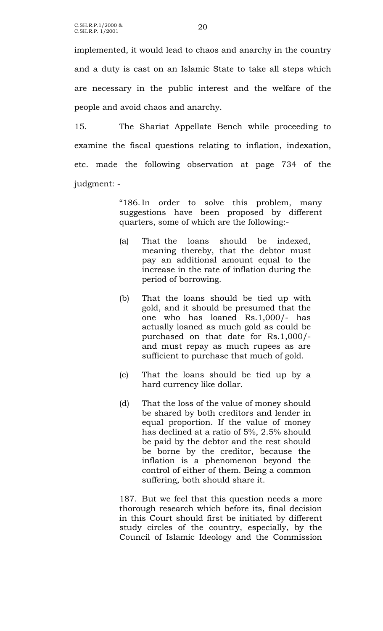implemented, it would lead to chaos and anarchy in the country and a duty is cast on an Islamic State to take all steps which are necessary in the public interest and the welfare of the people and avoid chaos and anarchy.

15. The Shariat Appellate Bench while proceeding to examine the fiscal questions relating to inflation, indexation, etc. made the following observation at page 734 of the judgment: -

> "186. In order to solve this problem, many suggestions have been proposed by different quarters, some of which are the following:-

- (a) That the loans should be indexed, meaning thereby, that the debtor must pay an additional amount equal to the increase in the rate of inflation during the period of borrowing.
- (b) That the loans should be tied up with gold, and it should be presumed that the one who has loaned Rs.1,000/- has actually loaned as much gold as could be purchased on that date for Rs.1,000/ and must repay as much rupees as are sufficient to purchase that much of gold.
- (c) That the loans should be tied up by a hard currency like dollar.
- (d) That the loss of the value of money should be shared by both creditors and lender in equal proportion. If the value of money has declined at a ratio of 5%, 2.5% should be paid by the debtor and the rest should be borne by the creditor, because the inflation is a phenomenon beyond the control of either of them. Being a common suffering, both should share it.

187. But we feel that this question needs a more thorough research which before its, final decision in this Court should first be initiated by different study circles of the country, especially, by the Council of Islamic Ideology and the Commission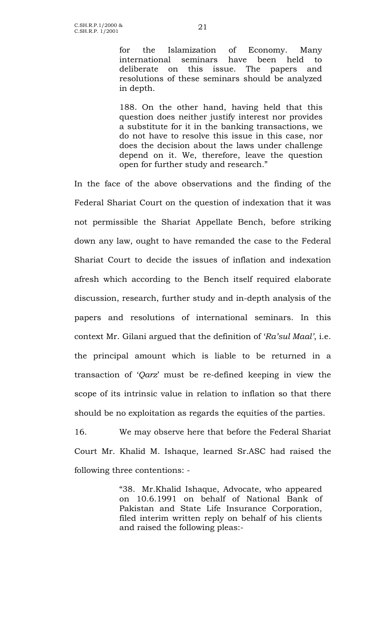for the Islamization of Economy. Many international seminars have been held to deliberate on this issue. The papers and resolutions of these seminars should be analyzed in depth.

188. On the other hand, having held that this question does neither justify interest nor provides a substitute for it in the banking transactions, we do not have to resolve this issue in this case, nor does the decision about the laws under challenge depend on it. We, therefore, leave the question open for further study and research."

In the face of the above observations and the finding of the Federal Shariat Court on the question of indexation that it was not permissible the Shariat Appellate Bench, before striking down any law, ought to have remanded the case to the Federal Shariat Court to decide the issues of inflation and indexation afresh which according to the Bench itself required elaborate discussion, research, further study and in-depth analysis of the papers and resolutions of international seminars. In this context Mr. Gilani argued that the definition of '*Ra'sul Maal'*, i.e. the principal amount which is liable to be returned in a transaction of '*Qarz*' must be re-defined keeping in view the scope of its intrinsic value in relation to inflation so that there should be no exploitation as regards the equities of the parties.

16. We may observe here that before the Federal Shariat Court Mr. Khalid M. Ishaque, learned Sr.ASC had raised the following three contentions: -

> "38. Mr.Khalid Ishaque, Advocate, who appeared on 10.6.1991 on behalf of National Bank of Pakistan and State Life Insurance Corporation, filed interim written reply on behalf of his clients and raised the following pleas:-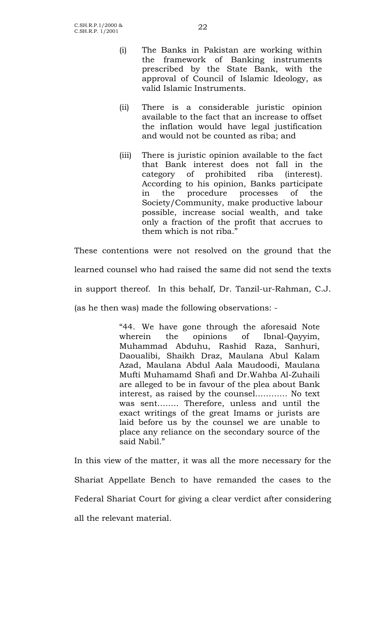- (i) The Banks in Pakistan are working within the framework of Banking instruments prescribed by the State Bank, with the approval of Council of Islamic Ideology, as valid Islamic Instruments.
- (ii) There is a considerable juristic opinion available to the fact that an increase to offset the inflation would have legal justification and would not be counted as riba; and
- (iii) There is juristic opinion available to the fact that Bank interest does not fall in the category of prohibited riba (interest). According to his opinion, Banks participate in the procedure processes of the Society/Community, make productive labour possible, increase social wealth, and take only a fraction of the profit that accrues to them which is not riba."

These contentions were not resolved on the ground that the learned counsel who had raised the same did not send the texts in support thereof. In this behalf, Dr. Tanzil-ur-Rahman, C.J. (as he then was) made the following observations: -

> "44. We have gone through the aforesaid Note wherein the opinions of Ibnal-Qayyim, Muhammad Abduhu, Rashid Raza, Sanhuri, Daoualibi, Shaikh Draz, Maulana Abul Kalam Azad, Maulana Abdul Aala Maudoodi, Maulana Mufti Muhamamd Shafi and Dr.Wahba Al-Zuhaili are alleged to be in favour of the plea about Bank interest, as raised by the counsel………… No text was sent…….. Therefore, unless and until the exact writings of the great Imams or jurists are laid before us by the counsel we are unable to place any reliance on the secondary source of the said Nabil."

In this view of the matter, it was all the more necessary for the Shariat Appellate Bench to have remanded the cases to the Federal Shariat Court for giving a clear verdict after considering all the relevant material.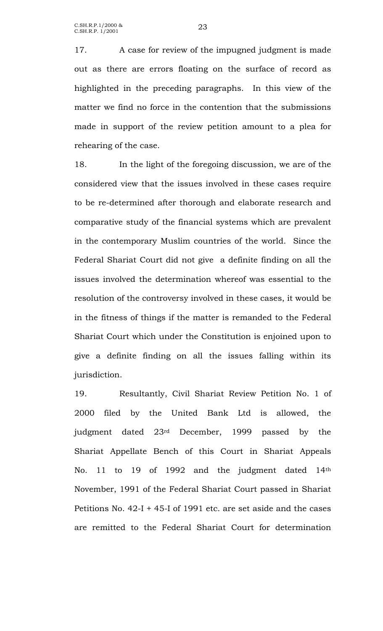17. A case for review of the impugned judgment is made out as there are errors floating on the surface of record as highlighted in the preceding paragraphs. In this view of the matter we find no force in the contention that the submissions made in support of the review petition amount to a plea for rehearing of the case.

18. In the light of the foregoing discussion, we are of the considered view that the issues involved in these cases require to be re-determined after thorough and elaborate research and comparative study of the financial systems which are prevalent in the contemporary Muslim countries of the world. Since the Federal Shariat Court did not give a definite finding on all the issues involved the determination whereof was essential to the resolution of the controversy involved in these cases, it would be in the fitness of things if the matter is remanded to the Federal Shariat Court which under the Constitution is enjoined upon to give a definite finding on all the issues falling within its jurisdiction.

19. Resultantly, Civil Shariat Review Petition No. 1 of 2000 filed by the United Bank Ltd is allowed, the judgment dated 23rd December, 1999 passed by the Shariat Appellate Bench of this Court in Shariat Appeals No. 11 to 19 of 1992 and the judgment dated 14th November, 1991 of the Federal Shariat Court passed in Shariat Petitions No. 42-I + 45-I of 1991 etc. are set aside and the cases are remitted to the Federal Shariat Court for determination